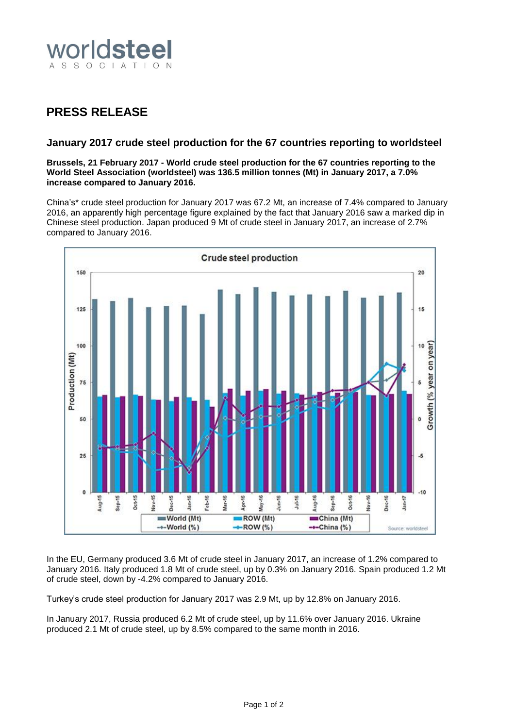

## **PRESS RELEASE**

## **January 2017 crude steel production for the 67 countries reporting to worldsteel**

**Brussels, 21 February 2017 - World crude steel production for the 67 countries reporting to the World Steel Association (worldsteel) was 136.5 million tonnes (Mt) in January 2017, a 7.0% increase compared to January 2016.**

China's\* crude steel production for January 2017 was 67.2 Mt, an increase of 7.4% compared to January 2016, an apparently high percentage figure explained by the fact that January 2016 saw a marked dip in Chinese steel production. Japan produced 9 Mt of crude steel in January 2017, an increase of 2.7% compared to January 2016.



In the EU, Germany produced 3.6 Mt of crude steel in January 2017, an increase of 1.2% compared to January 2016. Italy produced 1.8 Mt of crude steel, up by 0.3% on January 2016. Spain produced 1.2 Mt of crude steel, down by -4.2% compared to January 2016.

Turkey's crude steel production for January 2017 was 2.9 Mt, up by 12.8% on January 2016.

In January 2017, Russia produced 6.2 Mt of crude steel, up by 11.6% over January 2016. Ukraine produced 2.1 Mt of crude steel, up by 8.5% compared to the same month in 2016.